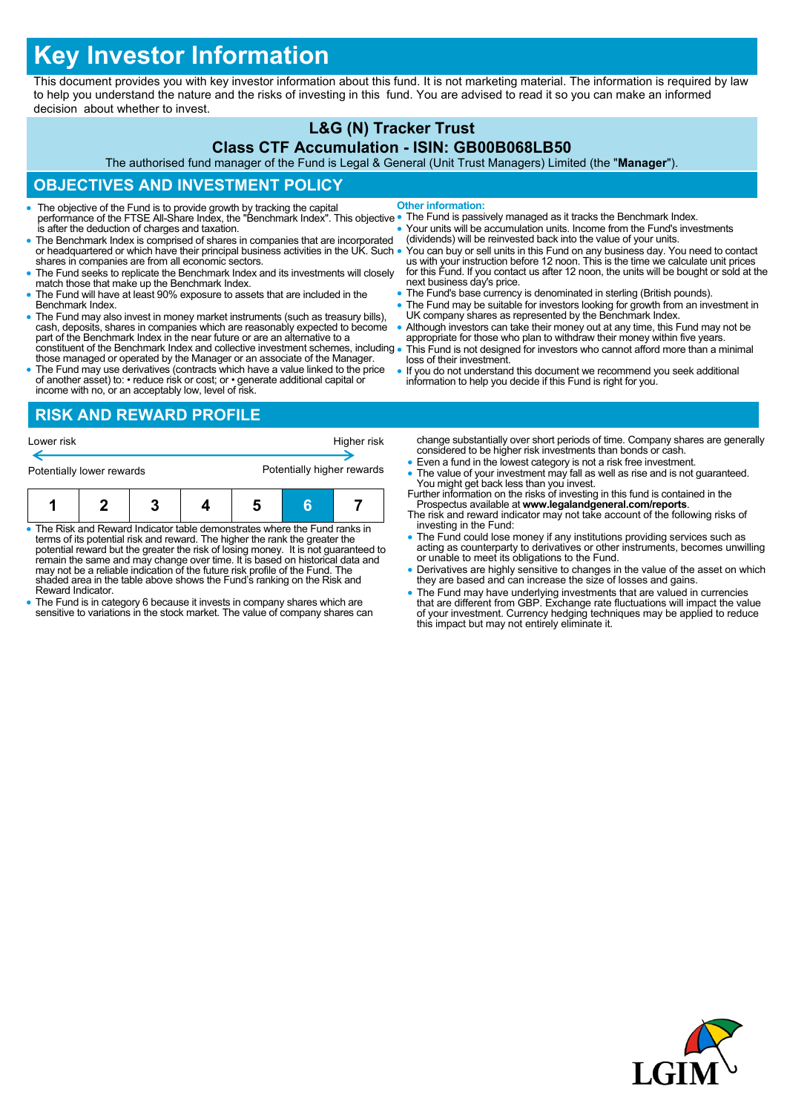# **Key Investor Information**

This document provides you with key investor information about this fund. It is not marketing material. The information is required by law to help you understand the nature and the risks of investing in this fund. You are advised to read it so you can make an informed decision about whether to invest.

## **L&G (N) Tracker Trust**

#### **Class CTF Accumulation - ISIN: GB00B068LB50**

The authorised fund manager of the Fund is Legal & General (Unit Trust Managers) Limited (the "**Manager**").

# **OBJECTIVES AND INVESTMENT POLICY**

- The objective of the Fund is to provide growth by tracking the capital performance of the FTSE All-Share Index, the "Benchmark Index". This objective is after the deduction of charges and taxation. **Other information:**
- The Benchmark Index is comprised of shares in companies that are incorporated or headquartered or which have their principal business activities in the UK. Such . shares in companies are from all economic sectors.
- The Fund seeks to replicate the Benchmark Index and its investments will closely match those that make up the Benchmark Index.
- The Fund will have at least 90% exposure to assets that are included in the Benchmark Index.
- The Fund may also invest in money market instruments (such as treasury bills), cash, deposits, shares in companies which are reasonably expected to become part of the Benchmark Index in the near future or are an alternat constituent of the Benchmark Index and collective investment schemes, including
- those managed or operated by the Manager or an associate of the Manager. The Fund may use derivatives (contracts which have a value linked to the price of another asset) to: • reduce risk or cost; or • generate additional capital or
- The Fund is passively managed as it tracks the Benchmark Index.
- Your units will be accumulation units. Income from the Fund's investments (dividends) will be reinvested back into the value of your units.
- You can buy or sell units in this Fund on any business day. You need to contact<br>us with your instruction before 12 noon. This is the time we calculate unit prices<br>for this Fund. If you contact us after 12 noon, the units next business day's price.
- The Fund's base currency is denominated in sterling (British pounds).
- The Fund may be suitable for investors looking for growth from an investment in UK company shares as represented by the Benchmark Index.
- Although investors can take their money out at any time, this Fund may not be appropriate for those who plan to withdraw their money within five years. This Fund is not designed for investors who cannot afford more than a minimal
- loss of their investment. If you do not understand this document we recommend you seek additional
- information to help you decide if this Fund is right for you.

income with no, or an acceptably low, level of risk. **RISK AND REWARD PROFILE**

| Lower risk                |   | Higher risk |                            |   |  |
|---------------------------|---|-------------|----------------------------|---|--|
| Potentially lower rewards |   |             | Potentially higher rewards |   |  |
|                           | 3 |             |                            | Ħ |  |

- The Risk and Reward Indicator table demonstrates where the Fund ranks in<br>terms of its potential risk and reward. The higher the rank the greater the<br>potential reward but the greater the risk of losing money. It is not gu may not be a reliable indication of the future risk profile of the Fund. The shaded area in the table above shows the Fund's ranking on the Risk and Reward Indicator.
- The Fund is in category 6 because it invests in company shares which are sensitive to variations in the stock market. The value of company shares can
- change substantially over short periods of time. Company shares are generally considered to be higher risk investments than bonds or cash.
- Even a fund in the lowest category is not a risk free investment.
- The value of your investment may fall as well as rise and is not guaranteed.
- You might get back less than you invest. Further information on the risks of investing in this fund is contained in the Prospectus available at **www.legalandgeneral.com/reports**. The risk and reward indicator may not take account of the following risks of
- investing in the Fund:
- The Fund could lose money if any institutions providing services such as acting as counterparty to derivatives or other instruments, becomes unwilling or unable to meet its obligations to the Fund.
- Derivatives are highly sensitive to changes in the value of the asset on which they are based and can increase the size of losses and gains.
- The Fund may have underlying investments that are valued in currencies that are different from GBP. Exchange rate fluctuations will impact the value of your investment. Currency hedging techniques may be applied to reduce this impact but may not entirely eliminate it.